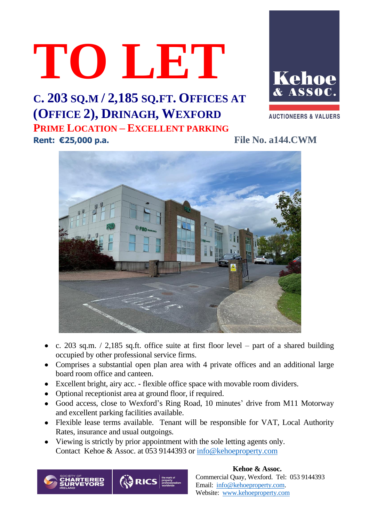# **TO LET**





**AUCTIONEERS & VALUERS** 

**Rent: €25,000 p.a. File No. a144.CWM**



- c. 203 sq.m.  $/$  2,185 sq.ft. office suite at first floor level part of a shared building occupied by other professional service firms.
- Comprises a substantial open plan area with 4 private offices and an additional large board room office and canteen.
- Excellent bright, airy acc. flexible office space with movable room dividers.
- Optional receptionist area at ground floor, if required.
- Good access, close to Wexford's Ring Road, 10 minutes' drive from M11 Motorway and excellent parking facilities available.
- Flexible lease terms available. Tenant will be responsible for VAT, Local Authority Rates, insurance and usual outgoings.
- Viewing is strictly by prior appointment with the sole letting agents only. Contact Kehoe & Assoc. at 053 9144393 or [info@kehoeproperty.com](mailto:info@kehoeproperty.com)



 **Kehoe & Assoc.** Commercial Quay, Wexford. Tel: 053 9144393 Email: [info@kehoeproperty.com.](mailto:info@kehoeproperty.com) Website: [www.kehoeproperty.com](http://www.kehoeproperty.com/)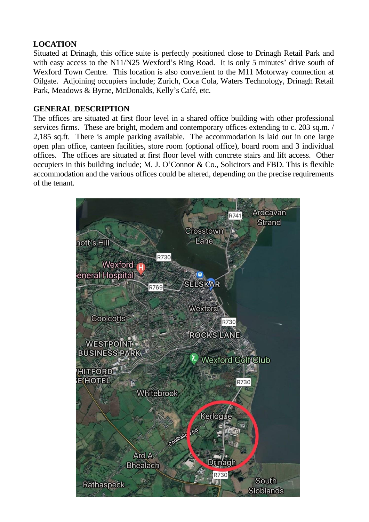### **LOCATION**

Situated at Drinagh, this office suite is perfectly positioned close to Drinagh Retail Park and with easy access to the N11/N25 Wexford's Ring Road. It is only 5 minutes' drive south of Wexford Town Centre. This location is also convenient to the M11 Motorway connection at Oilgate. Adjoining occupiers include; Zurich, Coca Cola, Waters Technology, Drinagh Retail Park, Meadows & Byrne, McDonalds, Kelly's Café, etc.

#### **GENERAL DESCRIPTION**

The offices are situated at first floor level in a shared office building with other professional services firms. These are bright, modern and contemporary offices extending to c. 203 sq.m. / 2,185 sq.ft. There is ample parking available. The accommodation is laid out in one large open plan office, canteen facilities, store room (optional office), board room and 3 individual offices. The offices are situated at first floor level with concrete stairs and lift access. Other occupiers in this building include; M. J. O'Connor & Co., Solicitors and FBD. This is flexible accommodation and the various offices could be altered, depending on the precise requirements of the tenant.

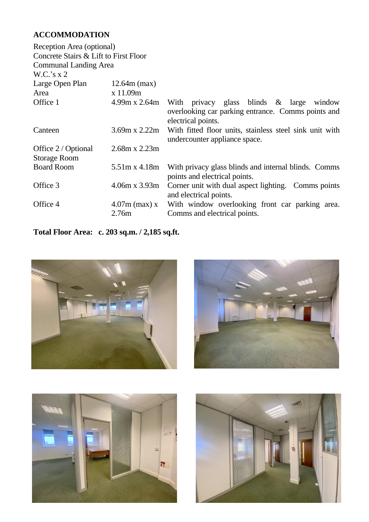## **ACCOMMODATION**

| Reception Area (optional)             |                          |                                                                                                                                       |
|---------------------------------------|--------------------------|---------------------------------------------------------------------------------------------------------------------------------------|
| Concrete Stairs & Lift to First Floor |                          |                                                                                                                                       |
| <b>Communal Landing Area</b>          |                          |                                                                                                                                       |
| W.C.'s x 2                            |                          |                                                                                                                                       |
| Large Open Plan                       | $12.64m$ (max)           |                                                                                                                                       |
| Area                                  | x 11.09m                 |                                                                                                                                       |
| Office 1                              |                          | 4.99m x 2.64m With privacy glass blinds & large<br>window<br>overlooking car parking entrance. Comms points and<br>electrical points. |
| Canteen                               |                          | 3.69m x 2.22m With fitted floor units, stainless steel sink unit with<br>undercounter appliance space.                                |
| Office 2 / Optional                   | $2.68m \times 2.23m$     |                                                                                                                                       |
| <b>Storage Room</b>                   |                          |                                                                                                                                       |
| <b>Board Room</b>                     | 5.51m x 4.18m            | With privacy glass blinds and internal blinds. Comms<br>points and electrical points.                                                 |
| Office 3                              | $4.06m \times 3.93m$     | Corner unit with dual aspect lighting. Comms points<br>and electrical points.                                                         |
| Office 4                              | $4.07m$ (max) x<br>2.76m | With window overlooking front car parking area.<br>Comms and electrical points.                                                       |

**Total Floor Area: c. 203 sq.m. / 2,185 sq.ft.**







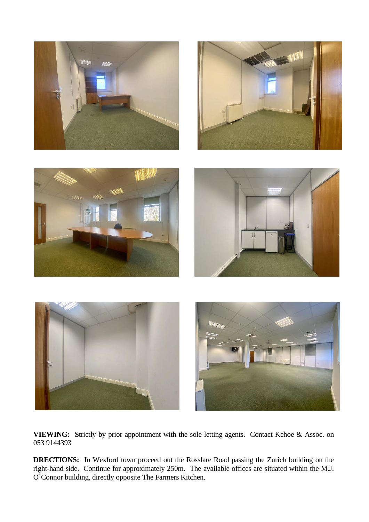

**VIEWING: S**trictly by prior appointment with the sole letting agents. Contact Kehoe & Assoc. on 053 9144393

**DRECTIONS:** In Wexford town proceed out the Rosslare Road passing the Zurich building on the right-hand side. Continue for approximately 250m. The available offices are situated within the M.J. O'Connor building, directly opposite The Farmers Kitchen.